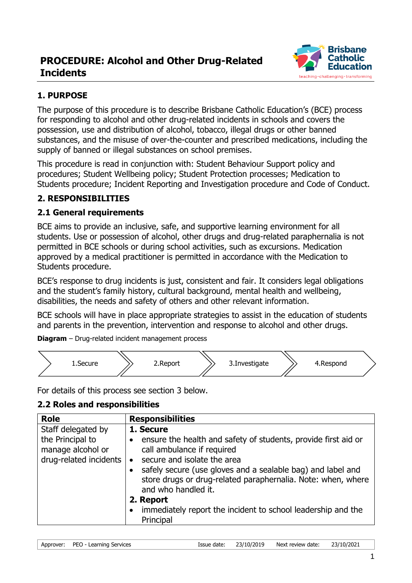# **PROCEDURE: Alcohol and Other Drug-Related Incidents**



## **1. PURPOSE**

The purpose of this procedure is to describe Brisbane Catholic Education's (BCE) process for responding to alcohol and other drug-related incidents in schools and covers the possession, use and distribution of alcohol, tobacco, illegal drugs or other banned substances, and the misuse of over-the-counter and prescribed medications, including the supply of banned or illegal substances on school premises.

This procedure is read in conjunction with: Student Behaviour Support policy and procedures; Student Wellbeing policy; Student Protection processes; Medication to Students procedure; Incident Reporting and Investigation procedure and Code of Conduct.

### **2. RESPONSIBILITIES**

#### **2.1 General requirements**

BCE aims to provide an inclusive, safe, and supportive learning environment for all students. Use or possession of alcohol, other drugs and drug-related paraphernalia is not permitted in BCE schools or during school activities, such as excursions. Medication approved by a medical practitioner is permitted in accordance with the Medication to Students procedure.

BCE's response to drug incidents is just, consistent and fair. It considers legal obligations and the student's family history, cultural background, mental health and wellbeing, disabilities, the needs and safety of others and other relevant information.

BCE schools will have in place appropriate strategies to assist in the education of students and parents in the prevention, intervention and response to alcohol and other drugs.

**Diagram** – Drug-related incident management process



For details of this process see section 3 below.

### **2.2 Roles and responsibilities**

| <b>Role</b>                                                                           | <b>Responsibilities</b>                                                                                                                                                                                                                                                                                                                                                                                                         |
|---------------------------------------------------------------------------------------|---------------------------------------------------------------------------------------------------------------------------------------------------------------------------------------------------------------------------------------------------------------------------------------------------------------------------------------------------------------------------------------------------------------------------------|
| Staff delegated by<br>the Principal to<br>manage alcohol or<br>drug-related incidents | 1. Secure<br>ensure the health and safety of students, provide first aid or<br>$\bullet$<br>call ambulance if required<br>secure and isolate the area<br>$\bullet$<br>safely secure (use gloves and a sealable bag) and label and<br>store drugs or drug-related paraphernalia. Note: when, where<br>and who handled it.<br>2. Report<br>immediately report the incident to school leadership and the<br>$\bullet$<br>Principal |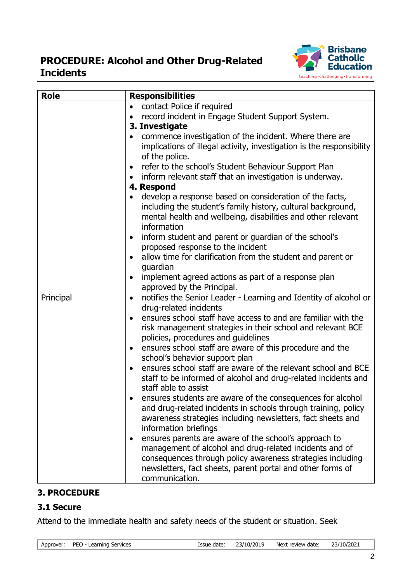# **PROCEDURE: Alcohol and Other Drug-Related Incidents**



| <b>Role</b> | <b>Responsibilities</b>                                                                                                                                                                                                                                                                                                                                                                                                                                                                                                                                                                                                                                                                                                                                                                                                                                                                                                                                                                                                                                                 |  |  |
|-------------|-------------------------------------------------------------------------------------------------------------------------------------------------------------------------------------------------------------------------------------------------------------------------------------------------------------------------------------------------------------------------------------------------------------------------------------------------------------------------------------------------------------------------------------------------------------------------------------------------------------------------------------------------------------------------------------------------------------------------------------------------------------------------------------------------------------------------------------------------------------------------------------------------------------------------------------------------------------------------------------------------------------------------------------------------------------------------|--|--|
| Principal   | contact Police if required<br>$\bullet$<br>record incident in Engage Student Support System.<br>3. Investigate<br>commence investigation of the incident. Where there are<br>implications of illegal activity, investigation is the responsibility<br>of the police.<br>refer to the school's Student Behaviour Support Plan<br>inform relevant staff that an investigation is underway.<br>$\bullet$<br>4. Respond<br>develop a response based on consideration of the facts,<br>including the student's family history, cultural background,<br>mental health and wellbeing, disabilities and other relevant<br>information<br>inform student and parent or guardian of the school's<br>proposed response to the incident<br>allow time for clarification from the student and parent or<br>quardian<br>implement agreed actions as part of a response plan<br>approved by the Principal.<br>notifies the Senior Leader - Learning and Identity of alcohol or<br>$\bullet$<br>drug-related incidents<br>ensures school staff have access to and are familiar with the |  |  |
|             | risk management strategies in their school and relevant BCE<br>policies, procedures and guidelines<br>ensures school staff are aware of this procedure and the<br>$\bullet$<br>school's behavior support plan<br>ensures school staff are aware of the relevant school and BCE<br>staff to be informed of alcohol and drug-related incidents and<br>staff able to assist<br>ensures students are aware of the consequences for alcohol<br>and drug-related incidents in schools through training, policy<br>awareness strategies including newsletters, fact sheets and<br>information briefings<br>ensures parents are aware of the school's approach to<br>٠<br>management of alcohol and drug-related incidents and of<br>consequences through policy awareness strategies including<br>newsletters, fact sheets, parent portal and other forms of<br>communication.                                                                                                                                                                                                 |  |  |

#### **3. PROCEDURE**

#### <span id="page-1-0"></span>**3.1 Secure**

Attend to the immediate health and safety needs of the student or situation. Seek

| Approver: PEO - Learning Services |  | Issue date: 23/10/2019    Next review date: 23/10/2021 |  |
|-----------------------------------|--|--------------------------------------------------------|--|
|                                   |  |                                                        |  |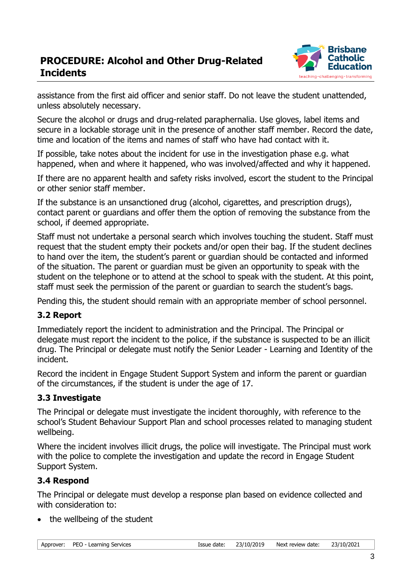

assistance from the first aid officer and senior staff. Do not leave the student unattended, unless absolutely necessary.

Secure the alcohol or drugs and drug-related paraphernalia. Use gloves, label items and secure in a lockable storage unit in the presence of another staff member. Record the date, time and location of the items and names of staff who have had contact with it.

If possible, take notes about the incident for use in the investigation phase e.g. what happened, when and where it happened, who was involved/affected and why it happened.

If there are no apparent health and safety risks involved, escort the student to the Principal or other senior staff member.

If the substance is an unsanctioned drug (alcohol, cigarettes, and prescription drugs), contact parent or guardians and offer them the option of removing the substance from the school, if deemed appropriate.

Staff must not undertake a personal search which involves touching the student. Staff must request that the student empty their pockets and/or open their bag. If the student declines to hand over the item, the student's parent or guardian should be contacted and informed of the situation. The parent or guardian must be given an opportunity to speak with the student on the telephone or to attend at the school to speak with the student. At this point, staff must seek the permission of the parent or guardian to search the student's bags.

Pending this, the student should remain with an appropriate member of school personnel.

#### <span id="page-2-0"></span>**3.2 Report**

Immediately report the incident to administration and the Principal. The Principal or delegate must report the incident to the police, if the substance is suspected to be an illicit drug. The Principal or delegate must notify the Senior Leader - Learning and Identity of the incident.

Record the incident in Engage Student Support System and inform the parent or guardian of the circumstances, if the student is under the age of 17.

#### <span id="page-2-1"></span>**3.3 Investigate**

The Principal or delegate must investigate the incident thoroughly, with reference to the school's Student Behaviour Support Plan and school processes related to managing student wellbeing.

Where the incident involves illicit drugs, the police will investigate. The Principal must work with the police to complete the investigation and update the record in Engage Student Support System.

#### <span id="page-2-2"></span>**3.4 Respond**

The Principal or delegate must develop a response plan based on evidence collected and with consideration to:

the wellbeing of the student

| Approver: | PEO - Learning Services |  |
|-----------|-------------------------|--|
|           |                         |  |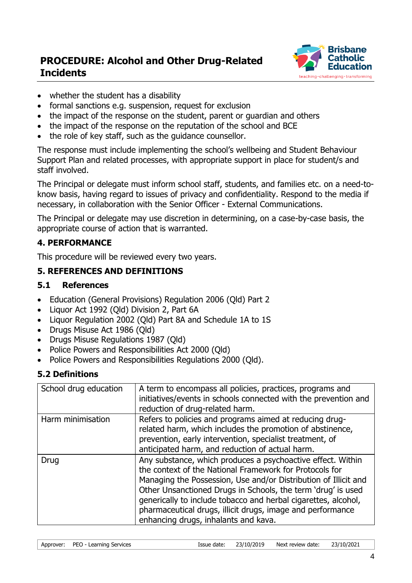

- whether the student has a disability
- formal sanctions e.g. suspension, request for exclusion
- the impact of the response on the student, parent or guardian and others
- the impact of the response on the reputation of the school and BCE
- the role of key staff, such as the guidance counsellor.

The response must include implementing the school's wellbeing and Student Behaviour Support Plan and related processes, with appropriate support in place for student/s and staff involved.

The Principal or delegate must inform school staff, students, and families etc. on a need-toknow basis, having regard to issues of privacy and confidentiality. Respond to the media if necessary, in collaboration with the Senior Officer - External Communications.

The Principal or delegate may use discretion in determining, on a case-by-case basis, the appropriate course of action that is warranted.

### **4. PERFORMANCE**

This procedure will be reviewed every two years.

#### **5. REFERENCES AND DEFINITIONS**

#### **5.1 References**

- Education (General Provisions) Regulation 2006 (Qld) Part 2
- Liquor Act 1992 (Qld) Division 2, Part 6A
- Liquor Regulation 2002 (Qld) Part 8A and Schedule 1A to 1S
- Drugs Misuse Act 1986 (Old)
- Drugs Misuse Regulations 1987 (Qld)
- Police Powers and Responsibilities Act 2000 (Qld)
- Police Powers and Responsibilities Regulations 2000 (Qld).

#### **5.2 Definitions**

| School drug education | A term to encompass all policies, practices, programs and<br>initiatives/events in schools connected with the prevention and<br>reduction of drug-related harm.                                                                                                                                                                                                                                                                   |
|-----------------------|-----------------------------------------------------------------------------------------------------------------------------------------------------------------------------------------------------------------------------------------------------------------------------------------------------------------------------------------------------------------------------------------------------------------------------------|
| Harm minimisation     | Refers to policies and programs aimed at reducing drug-<br>related harm, which includes the promotion of abstinence,<br>prevention, early intervention, specialist treatment, of<br>anticipated harm, and reduction of actual harm.                                                                                                                                                                                               |
| Drug                  | Any substance, which produces a psychoactive effect. Within<br>the context of the National Framework for Protocols for<br>Managing the Possession, Use and/or Distribution of Illicit and<br>Other Unsanctioned Drugs in Schools, the term 'drug' is used<br>generically to include tobacco and herbal cigarettes, alcohol,<br>pharmaceutical drugs, illicit drugs, image and performance<br>enhancing drugs, inhalants and kava. |

| Next review date: $23/10/2021$<br>Issue date: 23/10/2019<br>Approver: PEO - Learning Services |  |
|-----------------------------------------------------------------------------------------------|--|
|-----------------------------------------------------------------------------------------------|--|